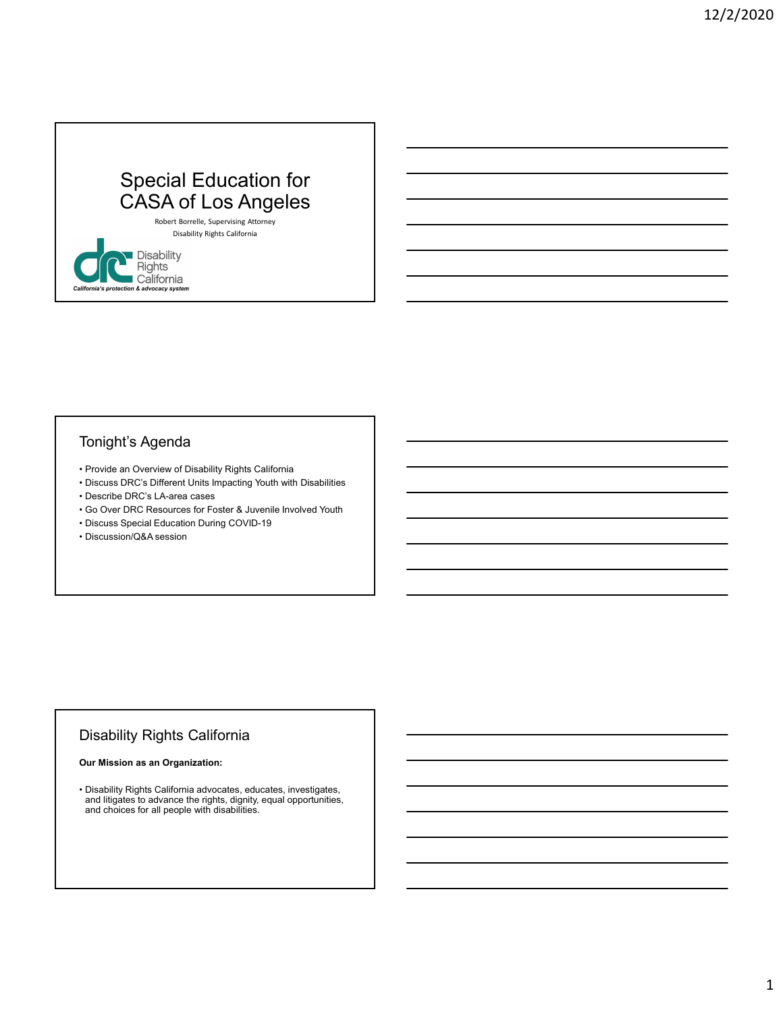## Special Education for CASA of Los Angeles • **Provide an Overview of Disability Rights California**<br>• Disability Rights California<br>• Provide an Overview of Disability Rights California<br>• Provide an Overview of Disability Rights California<br>• Provide an Overview of Di • Special Education for<br>
• CASA of Los Angeles<br>
• Radic thermals, superior adversar atoms<br>
• Disability<br>
• Picalifornia<br>
• Picalifornia<br>
• Colifornia<br>
• Colifornia<br>
• Discuss DRC's Lifterent Units Impacting Youth with Disa Special Education for<br>
CASA of Los Angeles<br>
<sup>Blashtit Berrelle, Supervising Attors</sub><br>
Disability Rights California<br> **California**<br>
Disability Rights California<br>
Tonight's Agenda<br>
Provide an Overview of Disability Rights Cali</sup> • Go CASA of Los Angeles<br>
• Bloading Karlowski, Superioring Material Columns<br>
• Goldiffornia<br>
• Goldiffornia<br>
• Goldiffornia<br>
• Columns<br>
• Columns<br>
• Provide an Overview of Disability Rights California<br>
• Provide an Overv **CASA of Los Angeles**<br>
• Basbitty Rights California<br>
• Disabitty Rights California<br>
• Disabitty Rights California<br>
• Provide an Overview of Disabitty Rights California<br>
• Provide an Overview of Disabitty Rights California<br>

Robert Borrelle, Supervising Attorney Disability Rights California

#### Tonight's Agenda

- 
- **CASA OI LOS ANGELES**<br>
<sup>modent</sup> brachelin<sub>g</sub> Regents and the content<br>
Discussion (Discussion and the content<br> **California**<br> **Formula and the content of the content of the content of the content of the content of the conten**
- 
- 
- 
- 

#### Disability Rights California

#### Our Mission as an Organization:

• Provide an Overview of Disability Rights California<br>• Discuss DRC's Liferent Units Impacting Youth with Disabilities<br>• Go Over DRC Resources for Foster & Juvenile Involved Youth<br>• Discussion CaA session<br>• Discussion CaA • Disability Rights California advocates, educates, investigates, and litigates to advance the rights, dignity, equal opportunities, and choices for all people with disabilities.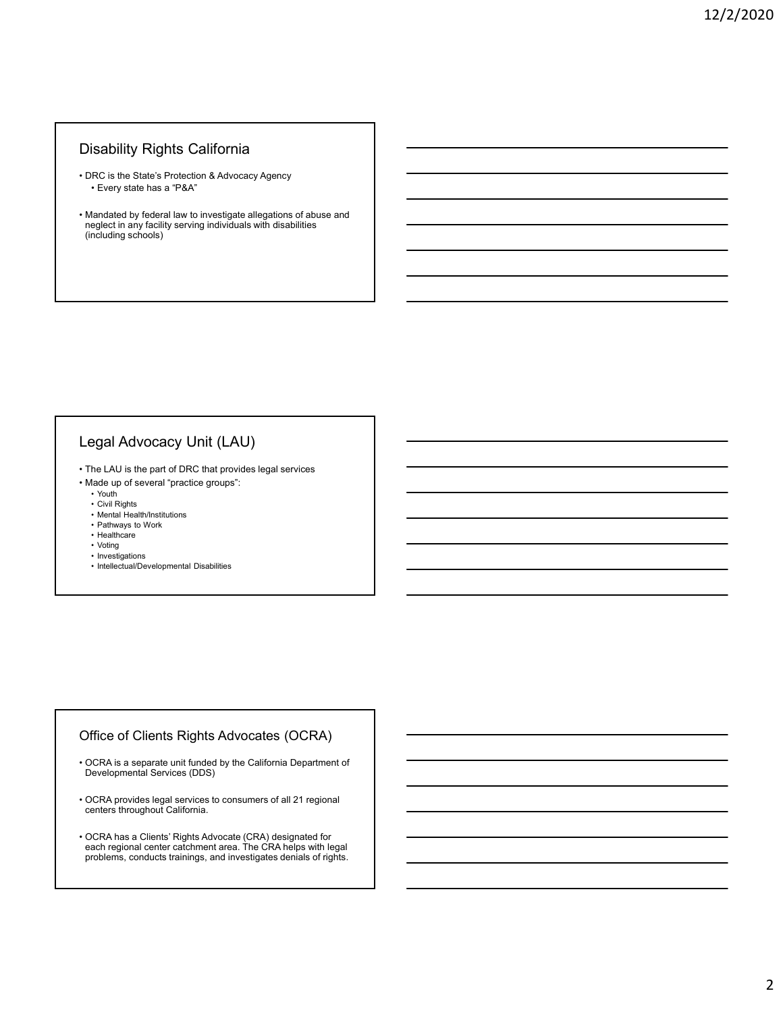#### Disability Rights California

- 
- Disability Rights California<br>• DRC is the State's Protection & Advocacy Agency<br>• Every state has a "P&A"<br>• Mandated by federal law to investigate allegations of abuse and neglect in any facility serving individuals with d Fraction Scalifornia<br>FRC is the State's Protection & Advocacy Agency<br>• Every state has a "P&A"<br>andated by federal law to investigate allegations of abuse and<br>reglect in any facility serving individuals with disabilities<br>in Disability Rights California<br>• DRC is the State's Protection & Advocacy Agency<br>• Every state has a "P&A"<br>• Mandated by federal law to investigate allegations of abuse and neglect in any facility serving individuals with neglect in any facility serving individuals with disabilities (including schools) **Disability Rights California**<br>• DRC is the State's Protection & Advocacy Agency<br>• Every state has a "P&A"<br>• Mandated by federal law to investigate allegations of abuse and<br>ringted in any serving matriculas with disabiliti • DISaDIIIty Kignts California<br>
• DRC is the State's Protection & Advocacy Agency<br>
• Feory state has a "P&"<br>
• Mandated by federal tax to investigate allegations of abuse and<br>
neglect in any facility serving individuals w RC is the State's Protection & Advocacy Agency<br>• Every state has a "P&A"<br>andated by federal law to investigate allegations of abuse and<br>eiglet in any facility serving individuals with disabilities<br>chuding schools)<br>**egal Ad** RC is the State's Protection & Advocacy Agency<br>
• Every state has a "P&A"<br>
engleptic in any facility serving individuals with disabilities<br>
eglect in any facility serving individuals with disabilities<br>
eglect in any facili • Mental Health China and Mental Mental Mental Health (State and State and State and State Institutions of the matrice of the state of the state of the state of the state of the state of the state of the state of the state • Provision and a law to investigate allegations of abuse and<br>displect in any facility serving individuals with disabilities<br>of performance and provides and<br>childing schools)<br>and a lay of several "practice groups":<br>the CAU Identical by federal law to investigate allegations of abuse and<br>eigerclin any facility serving individuals with disabilities<br>chudding schools)<br>el LAU is the part of DRC that provides legal services<br>el LAU is the part of D anandated by federal law to investigate allegations of abuse and<br>eglect in any facility serving individuals with disabilities<br>ended in the services)<br>between the services of DRC that provides legal services<br>and the up of se egal Advocacy Unit (LAU)<br>• Installing schools)<br>• Installing schools)<br>• Installations of DRC that provides legal services<br>• Installation of several "practice groups":<br>• Installations of several "practice groups":<br>• Helibert

# Legal Advocacy Unit (LAU) egal Advocacy Unit (LAU)<br>• Intellectual is the part of DRC that provides legal services<br>hade up of several "practice groups":<br>• Configuration of several "practice groups":<br>• Palman HealthDinstitutions<br>• Palman For DV ork<br>•

- 
- 
- -
- 
- 
- 
- 
- 

#### Office of Clients Rights Advocates (OCRA)

- Legal Advocacy Unit (LAU)<br>• The LAU is the part of DRC that provides legal services<br>
 Made up of several "practice groups":<br>
 Cold Rights<br>
 California Pealth descriptions<br>
 Henrich Henrich Schwarz<br>
 Henrich Henrich Sc • OCRA is a separate unit funded by the California Department of<br>Developmental Services (DDS)
- centers throughout California.
- The LAU is the part of DRC that provides legal services<br>• More Live of Several "practice groups":<br>• CM Rehistance<br>• Full Works<br>• Full Works<br>• Full Works<br>• Full Works<br>• Full Works<br>• Intellectual/Developmental Disabilities • Clvil Rights<br>• Mental Health/Institutions<br>• Hashbare<br>• Technical<br>• The Medicial Developmental Disabilities<br>• Intellectual Developmental Disabilities<br>• Included by the California Department of<br>Developmental Services (DDS) • OCRA has a Clients' Rights Advocate (CRA) designated for<br>each regional center catchment area. The CRA helps with legal problems, conducts trainings, and investigates denials of rights.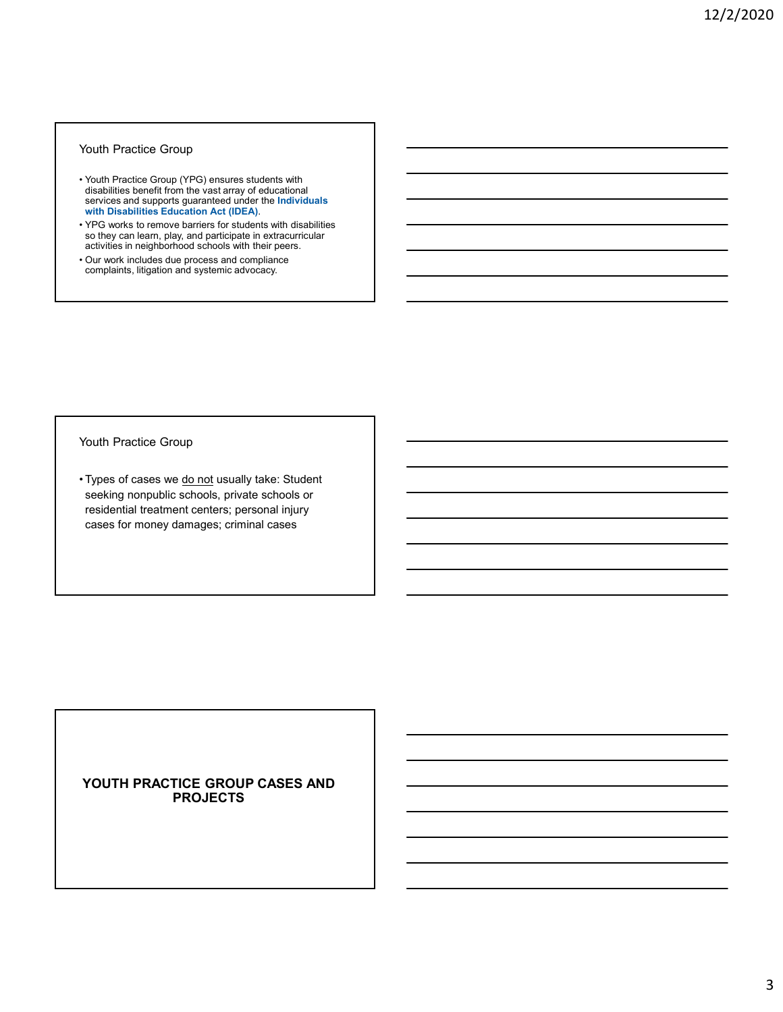#### Youth Practice Group

- **Fractice Group (YPG) ensures students with disabilities benefit from the vast array of educational services and supports guaranteed under the Individuals with Disabilities Education Act (UEA).<br>
What Disabilities Education** disabilities benefit from the vast array of educational services and supports guaranteed under the Individuals **Exercise 1 (Separation 1991)** Wouth Practice Group<br>
Wouth Practice Group (YPG) ensures students with<br>
disabilities benefit from the vast array of educational<br>
services and supports guaranteed under the Individuals<br>
with Disabilities Equation Act (IDEA) • Youth Practice Group<br>• Youth Practice Group (YPG) ensures students with<br>disabilities benefit from the vast array of educational<br>services and supports guaranteed under the Individuals<br>with Disabilities Education Act (IDEA
- so they can learn, play, and participate in extracurricular activities in neighborhood schools with their peers.
- complaints, litigation and systemic advocacy.

Youth Practice Group

Youth Practice Group<br>
• Youth Practice Group (YPC) ensures students with<br>
disabilities benefit from the vast array of educational<br>
serives and supports guaranteed under the individuals<br>
with Disabilities Education Act (IDE seeking nonpublic schools, private schools or residential treatment centers; personal injury cases for money damages; criminal cases

#### YOUTH PRACTICE GROUP CASES AND PROJECTS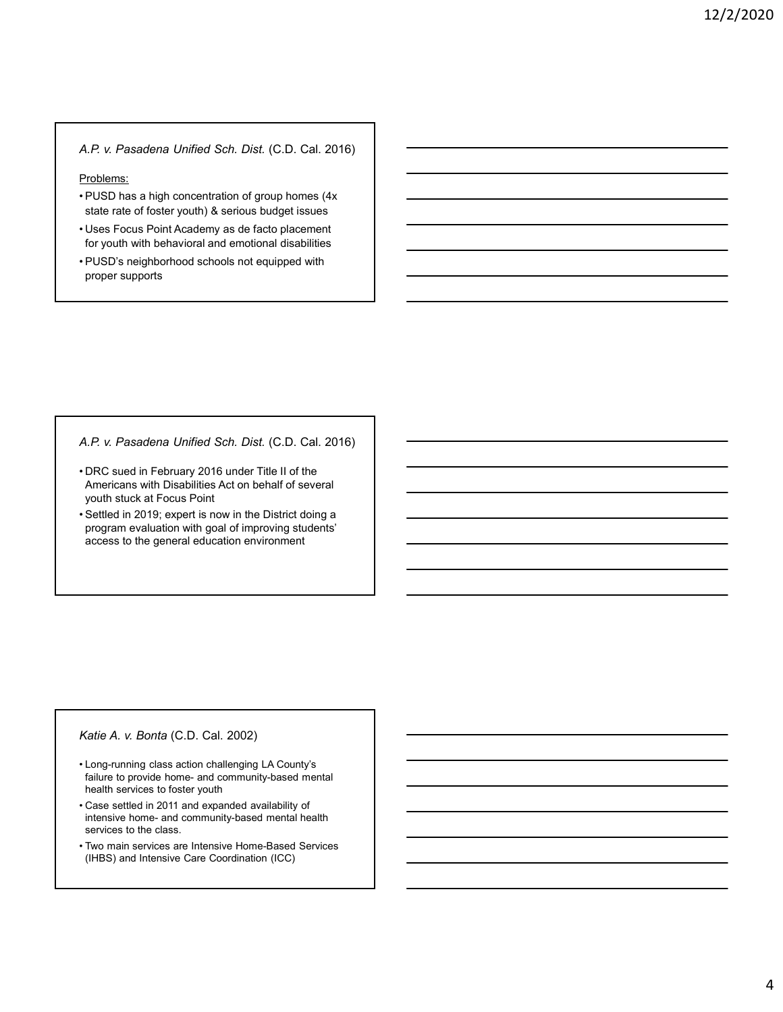#### A.P. v. Pasadena Unified Sch. Dist. (C.D. Cal. 2016)

#### Problems:

- 4. P. v. Pasadena Unified Sch. Dist. (C.D. Cal. 2016)<br>
Problems:<br>
 PUSD has a high concentration of group homes (4x<br>
state rate of foster youth) & serious budget issues<br>
 Uses Focus Point Academy as de facto placement<br>
f state rate of foster youth) & serious budget issues A.P. v. Pasadena Unified Sch. Dist. (C.D. Cal. 2016)<br>
Problems:<br>
• PUSD has a high concentration of group homes (4x<br>
• state rate of foster youth) & serious budget issues<br>
• Uses Focus Point Academy as de facto placement<br> A.P. v. Pasadena Unified Sch. Dist. (C.D. Cal. 2016)<br>
Problems:<br>
• PUSD has a high concentration of group homes (4x<br>
state rate of foster youth) & serious budget issues<br>
• Uses Focus Point Academy as de facto placement<br>
fo
- for youth with behavioral and emotional disabilities
- proper supports

A.P. v. Pasadena Unified Sch. Dist. (C.D. Cal. 2016)

- 1. P. v. Pasadena Unified Sch. Dist. (C.D. Cal. 2016)<br>
Problems:<br>
 PUSD has a high concentration of group homes (4x<br>
state rate of foster youth) & serious budget issues<br>
 Uses Focus Point Academy as de facto placement<br>
 Americans with Disabilities Act on behalf of several youth stuck at Focus Point • NUSD has a high concentration of group homes (4x<br>
state rate of foster youth) & serious budget issues<br>
• Uses Focus Point Academy as de facto placement<br>
• FUSD's neighborhood schools not equipped with<br>
• PUSD's neighborh A.P. v. Pasadena Unified Sch. Dist. (C.D. Cal. 2016)<br>
• DRC sued in February 2016 under Title II of the<br>
Americans with Disabilities Act on behalf of several<br>
• Settled in 2019; expert is now in the District doing a<br>
progr F. Y. Pessadena Unimed Scri. Dist. (C.D. Cal. 2016)<br>Chic sudd in February 2016 under Title II of the<br>Americans with Distabilities Act on behalf of several<br>youth stuck at Focus Point<br>gotted in 2019; expert is now in the Dis
- program evaluation with goal of improving students' access to the general education environment • DRC's used in February 2011 bunder lifte if of the<br>Americans with Disabilities Act on behalf of several<br>youth stuck at Focus Point<br>spectra in 2019; expert is now in the District doing a<br>program evaluation with goal of im Americans with Disabilities Act on behalf of several<br>youth stuck at Focus Point<br>Setted in 2019; expert is now in the District doing a<br>program evaluation with goal of improving students<br>access to the general education envir • Settled in 2019; expert is now in the District doing a<br>
program evaluation with goal of improving students<br>
access to the general education environment<br>
access to the general education environment<br>
faiture to provide hom

#### Katie A. v. Bonta (C.D. Cal. 2002)

- health services to foster youth
- services to the class.
- (IHBS) and Intensive Care Coordination (ICC)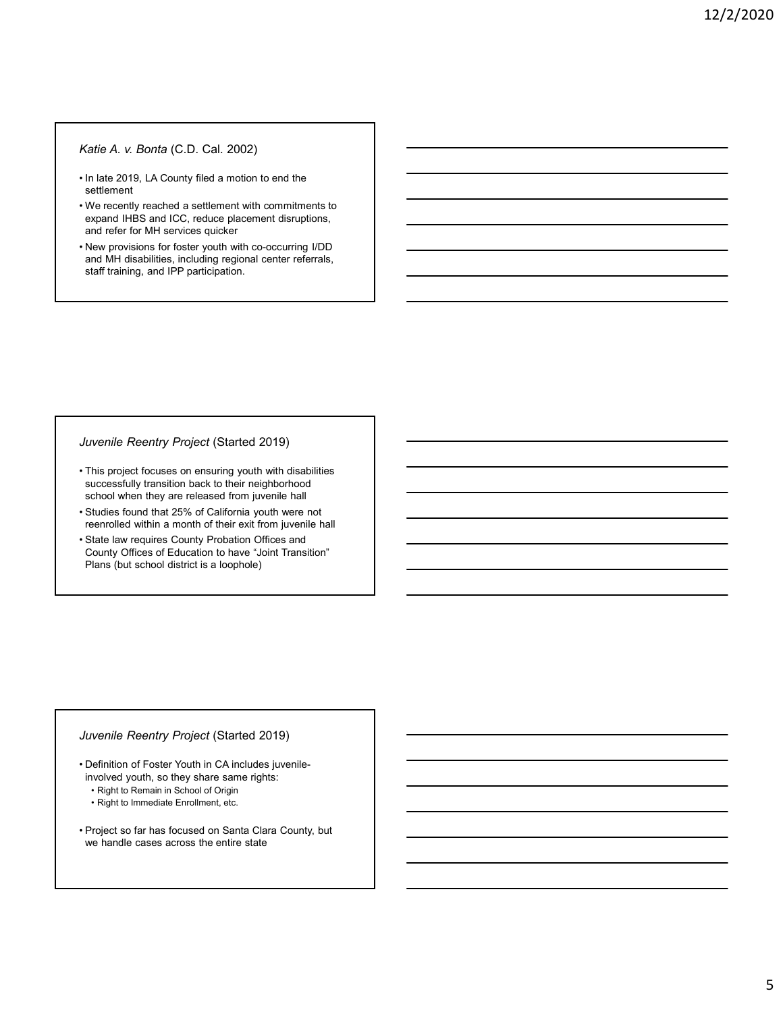#### Katie A. v. Bonta (C.D. Cal. 2002)

- settlement
- Vatie A. v. Bonta (C.D. Cal. 2002)<br>
 In late 2019, LA County filed a motion to end the<br>
settlement<br>
 We recently reached a settlement with commitments to<br>
 New provisions for focster youth with co-occurring I/DD<br>
 New **Katie A. v. Bonta (C.D. Cal. 2002)**<br>
• In late 2019, LA County filed a motion to end the<br>
settlement<br>
• We recently reached a settlement with commitments to<br>
expand IHBS and ICC, reduce placement disruptions,<br>
and refer f expand IHBS and ICC, reduce placement disruptions, and refer for MH services quicker Finalistic A. v. Bonta (C.D. Cal. 2002)<br>• In late 2019, LA County filed a motion to end the<br>• settlement<br>• We recently reached a settlement with commitments to<br>• expand IHBS and ICC, reduce placement disruptions,<br>• New pro **Katie A. v. Bonta (C.D. Cal. 2002)**<br>
• In late 2019, LA County filed a motion to end the<br>
settlement<br>
• We recently reached a settlement with commitments to<br>
• New provisions for focuse youth with co-occurring I/DD<br>
• New • In tale 2019, LA County filed a motion to end the<br>
• settlement<br>
• We recently reached a settlement with commitments to<br>
• New provisions for foster youth with co-occurring I/DD<br>
• New provisions for foster youth with co
- and MH disabilities, including regional center referrals, staff training, and IPP participation. • We recently reached a settlement with commitments to<br>
• Reparal HBS and ICC, reduce placement disruptions,<br>
• New provisions for forster youth with co-occurring I/DD<br>
• The and MH distabilities, including regional enter

#### Juvenile Reentry Project (Started 2019)

- successfully transition back to their neighborhood school when they are released from juvenile hall
- reenrolled within a month of their exit from juvenile hall
- County Offices of Education to have "Joint Transition" Plans (but school district is a loophole) Valiable Reentry Project (Started 2019)<br>
• This project focuses on ensuring youth with disabilities<br>
successfully transition back to their neighborhood<br>
• Studies found that 25% of California youth were not<br>
reenrolled wit his project focuses on ensuring youth with disabilities<br>
uccessfully transition back to their neighborhood<br>
tudies found that 25% of California youth were not<br>
tudies found that a month of their exit from juvenile hall<br>
ta his projet focuses on ensuing youth with disabilities<br>
his project focus on ensuing youth with disabilities<br>
tuckers found that 25% of California youth were not<br>
tuckines found that 25% of California youth were not<br>
tarta school when they are released from juvenine hall<br>• Studies found that 25% of California youth were not<br>• State law requires County Probation Offices and<br>• County Offices of Education to have "Joint Transition"<br>Plans (but s

#### Juvenile Reentry Project (Started 2019)

- involved youth, so they share same rights:
- 
- 
- we handle cases across the entire state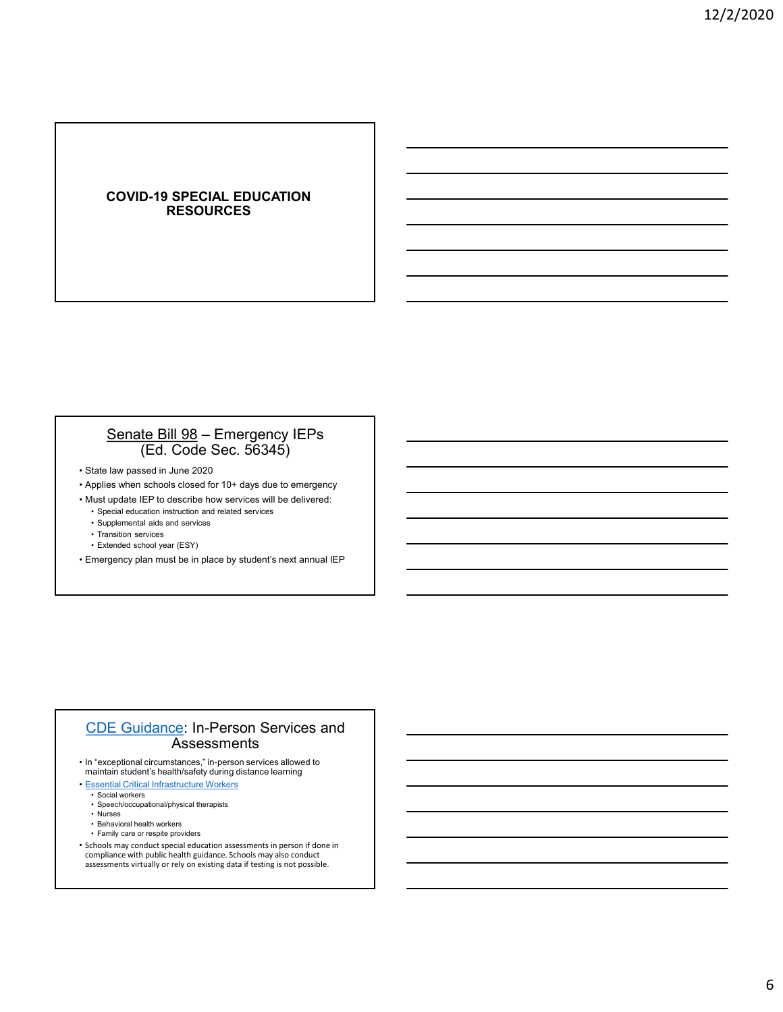#### COVID-19 SPECIAL EDUCATION RESOURCES

### COVID-19 SPECIAL EDUCATION<br>RESOURCES<br>Senate Bill 98 – Emergency IEPs<br>(Ed. Code Sec. 56345)<br>law passed in June 2020<br>sis when schools closed for 10+ days due to emergency<br>equile elucation instruction and related services<br>equ (Ed. Code Sec. 56345) **COVID-19 SPECIAL EDUCATION<br>
RESOURCES<br>
Senate Bill 98 – Emergency IEPs<br>
(Ed. Code Sec. 56345)<br>
State law passed in June 2020<br>
State law passed in June 2020<br>
Applies when schools closed for 10+ days due to emergency<br>
Alus COVID-19 SPECIAL EDUCATION<br>
RESOURCES<br>
Senate Bill 98 - Emergency IEPs<br>
(Ed. Code Sec. 56345)<br>
<sup>2</sup> State law passed in June 2020<br>
<sup>2</sup> Applies when schools closed for 10+ days due to emergency<br>
<sup>2</sup> Applies when schools cl COVID-19 SPECIAL EDUCATION<br>
RESOURCES**<br>
<del>MUST UPDATE INTERNATION</del><br>
Senate Bill 98 – Emergency IEPs<br>
(Ed. Code Sec. 56345)<br>
State law passe in June 2020<br>
Applies when schools closed for 10+ days due to emergency<br>
Applies w **COVID-19 SPECIAL EDUCATION<br>• RESOURCES**<br>• Special education and relation instruction and relation instruction and relation instruction instruction in<br>
(Ed. Code Sec. 56345)<br>
tate law passed in June 2020<br>
tust update is F COVID-19 SPECIAL EDUCATION<br>
RESOURCES<br>
<u>• Senate Bill 98</u> – Emergency IEPs<br>
(Ed. Code Sec. 56345)<br>
<sup>tate law passed in June 2020<br>
pplies when schools closed for 10+ days due to emergency<br>
pplies when schools closed for 10+</sup> **Example 19 COVID-19 OF LOIDER LEDUCATION**<br>
RESOURCES<br>
(Ed. Code Sec. 56345)<br>
(Ed. Pays and in June 2020<br>
Unter the schools closed for 10+ days due to emergency<br>
Unter the schools closed for 10+ days due to emergency<br>
the **Senate Bill 98** – Emergency IEPs<br> **Example 2** – Emergency IEPs<br> **Externe 1** – **Constant Constant Constant Constant Constant Constant Constant Constant Constant Constant Constant<br>
Usuar Update IEP to describe how services** • State law passed in June 2020<br>• State law passed in June 2020<br>• State law passed in 10-t days due to emergency<br>• Applies when schools closed for 10+ days due to emergency<br>• Must update IEP to describe how services will b

- 
- 
- 
- 
- 
- 
- 
- 

### CDE Guidance: In-Person Services and Assessments **Senate Bill 98** — Emergency IEPs<br>
(Ed. Code Sec. 56345)<br>
State law passed in June 2020<br>
Applies when schools closed for 10+ days due to emergency<br>
Hust update late to describe how services will be delivered:<br>  $\cdot$  signat tate law passed in June 2020<br>
pplies when schools closed for 10+ days due to emergency<br>
• Usual update IEP to describe how services will be delivered:<br>
• Special education instruction and related services<br>
• Transition ser tale law passed in Jure 2020<br>
applies when schools closed for 10+ days due to emergency<br>
• Special education misuation and related services<br>
• Special education misuation and related services<br>
• Extended advoto year (ESY)<br> pplies when schools closed for 10- days due to emergency<br>
ust update IEP to describe how services will be delivered:<br>
• Special education hastruction and related services<br>
• Extended school year (ESY)<br>
• Extended school ye Fransition Instantion Instantion and the Construction of the Construction Instanting Construction and the Construction and the Construction and the Construction and the Construction and the Construction and Construction an Ust update IEP to describe how services will be delivered:<br>• Special education instruction and related services<br>• Transition services<br>• Transition services<br>• Extended school year (ESY)<br>• Transition services<br>• Extended scho

- maintain student's health/safety during distance learning
- Essential Critical Infrastructure Workers
	-
	-
	-
	-
- Schools may conduct special education assessments in person if done in compliance with public health guidance. Schools may also conduct assessments virtually or rely on existing data if testing is not possible.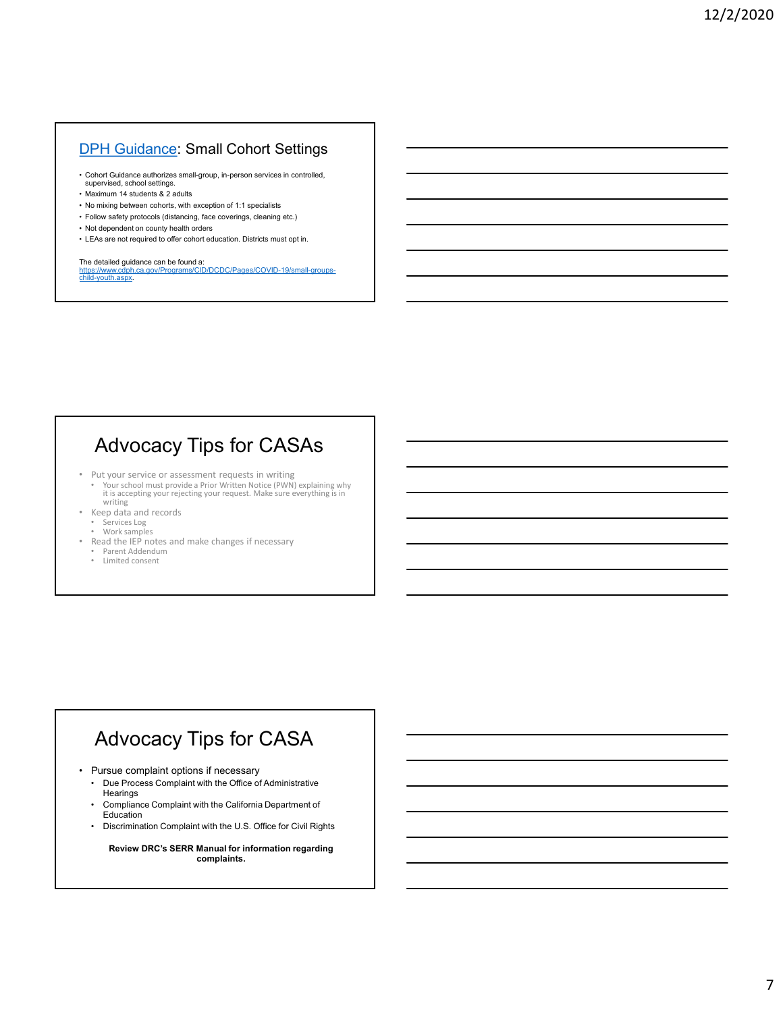#### DPH Guidance: Small Cohort Settings

- **PH Guidance: Small Cohort Settings<br>• Cohort Guidance authorizes small-group, in-person services in controlled,<br>• supervised, school settings.<br>• Naximum 14 students & 2 adults<br>• No mixing between cohorts, with exception of Supervised, Small Cohort Settings.**<br>
• Cohort Guidance authorizes small-group, in-person services in controlled,<br>
• Nearking between cohors, with exception of 1:1 specialists<br>
• Maximum 14 students & 2 adults<br>
• Follow sa
- 
- 
- 
- 
- 

**DPH Guidance: Small Cohort Settings**<br>• Cohort Guidance authorizes small-group, in-person services in controlled,<br>• supervised, school settings.<br>• No mixing between cohorts, with exception of 1:1 specialists<br>• Follow safet **DPH Guidance: Small Cohort Settings**<br>• Corol Guidance authorizes small-group, in-person services in controlled,<br>• suggervised, school settings, and and the exception of 1:1 specialists<br>• No mixing between colons, with exc **DPH Guidance: Small Cohort Settings**<br>• Cohort Guidance authorizes small-group, in-person services in controlled,<br>• Maximum 14 students & 2 adults<br>• Maximum 14 students of the acception of 1:1 specialists<br>• No mixing betwe **DPH Guidance: Small Cohort Settings**<br>• Cohort Guidance authorizes small-group, in-person services in controlled,<br>• Maximum 14 students & 2 adults<br>• No mixing between cohorts with exception of 1:1 specialists<br>• Follow safe The detailed guidance can be found a: https://www.cdph.ca.gov/Programs/CID/DCDC/Pages/COVID-19/small-groupschild-youth.aspx.

#### Advocacy Tips for CASAs

- Put your service or assessment requests in writing
- Your school must provide a Prior Written Notice (PWN) explaining why it is accepting your rejecting your request. Make sure everything is in writing • Put your service or assessment requests in writing<br>• Put your service or assessment requests in writing<br>• Your school must provide a Prior Writen Notice (PWN) coplaining why<br>• It is necessary<br>• Regula and records<br>• Ser • Put of Administrative or a seasoned framework in writing with the process complaint with the Complete of Administrative Complete of Administrative Complete of Administrative Complete of Administrative Complete of Adminis Fully our screeter or assessment requests in writing why is the secopity parameter (PWN) explaining why<br>
it is accepting your request. Make sure everything is in<br>
the california Department of the California Department of t
- Keep data and records • Services Log
- 
- Work samples Read the IEP notes and make changes if necessary
	- Parent Addendum Limited consent

# Advocacy Tips for CASA Fit is according your rejecting your request. Make sure everything is in<br>
New Yorks and records<br>
A the all the EP notes and make changes if necessary<br>
• Parent Addendure<br>
• United consent<br>
• United consent<br>
• United consen

- - **Hearings**
	-
- Education<br>• Discrimination Complaint with the U.S. Office for Civil Rights

Review DRC's SERR Manual for information regarding complaints.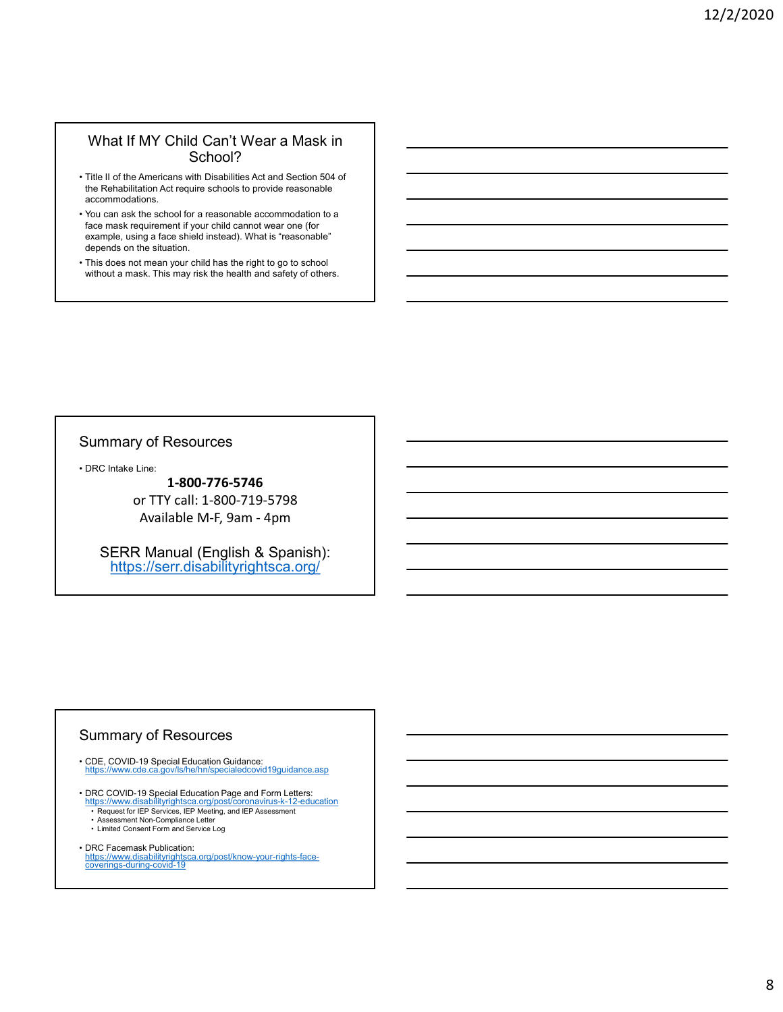#### What If MY Child Can't Wear a Mask in School?

- the Rehabilitation Act require schools to provide reasonable accommodations.
- What If MY Child Can't Wear a Mask in<br>
School?<br>
 Title II of the Americans with Disabilities Act and Section 504 of<br>
the Rehabilitation Act require schools to provide reasonable<br>
accommodations.<br>
 You can ask the school What If MY Child Can't Wear a Mask in<br>
School?<br>
• Title II of the Americans with Disabilities Act and Section 504 of<br>
the Rehabilitation Act require schools to provide reasonable<br>
accommodations.<br>
• You can ask the school face mask requirement if your child cannot wear one (for example, using a face shield instead). What is "reasonable" depends on the situation. What If MY Child Can't Wear a Mask in<br>School?<br>• Title II of the Americans with Disabilities Act and Section 504 of<br>the Rehabilitation Act require schools to provide reasonable<br>• You can ask the school for a reasonable acco What If MY Child Can't Wear a Mask in<br>
School?<br>
Title II of the Americans with Disabilities Act and Section 504 of<br>
the Rehabilitation Act require schools to provide reasonable<br>
accommodation.<br>
You can ask the school for a From the school for a reasonable accommodation to a<br>pla face shield instants. What is "reasonable"<br>he situation.<br>The and the matrix of the matrix of the situation of the set of the set of the set of the mean your child has
- without a mask. This may risk the health and safety of others.

#### Summary of Resources

1-800-776-5746 or TTY call: 1-800-719-5798 • DRC Intake Line:<br>
• 1-800-776-5746<br>
• or TTY call: 1-800-719-5798<br>
• Available M-F, 9am - 4pm<br>
• SERR Manual (English & Spanish):<br>
https://serr.disabilityrightsca.org/<br>
• SERR Manual (English & Spanish):<br>
• https://ser • DRC Intake Line:<br>
1-800-776-5746<br>
or TTY call: 1-800-719-5798<br>
Available M-F, 9am - 4pm<br>
SERR Manual (English & Spanish):<br>
https://serr.disabilityrightsca.org/<br>
<br>
Summary of Resources<br>
• CDE, COVID-19 Special Education G 1-800-776-5746<br>
or TTY call: 1-800-719-5798<br>
Available M-F, 9am - 4pm<br>
SERR Manual (English & Spanish):<br>
https://serr.disabilityrightsca.org/<br>
mummary of Resources<br>
DE. COVID-19 Special Education Guidance:<br>
DE. COVID-19 Sp

SERR Manual (English & Spanish): https://serr.disabilityrightsca.org/

#### Summary of Resources

- CDE, COVID-19 Special Education Guidance:<br>https://www.cde.ca.gov/ls/he/hn/specialedcovid19guidance.asp
- DRC COVID-19 Special Education Page and Form Letters:<br>https://www.disabilityrightsca.org/post/coronavirus-k-12-education<br>• Request for IEP Services, IEP Meeting, and IEP Assessment • Arian Complete Letter Arian Service Letter Arian Service Letter Arian Service Letter Arian Service Letter Arian Service Letter Arian Service Letter Arian Service Letter Arian Service Letter Arian Service Letter Arian Se or TTY call: 1-800-719-5798<br>
Available M-F, 9am - 4pm<br>
SERR Manual (English & Spanish):<br>
https://serr.disabilityrightsca.org/<br>
DERR Manual (English & Spanish):<br>
Limited Consent Consent Form and Service Log<br>
DERRET COND-19 Available M-F, 9am - 4pm<br>
SERR Manual (English & Spanish):<br>
https://serr.disabilityrightsca.org/<br>
CDE, COVID-19 Special Education Guidance<br>
CDE, COVID-19 Special Education Guidance<br>
https://www.de.ca.gov/sheehningecialdedo
	-
- https://www.disabilityrightsca.org/post/know-your-rights-face-coverings-during-covid-19